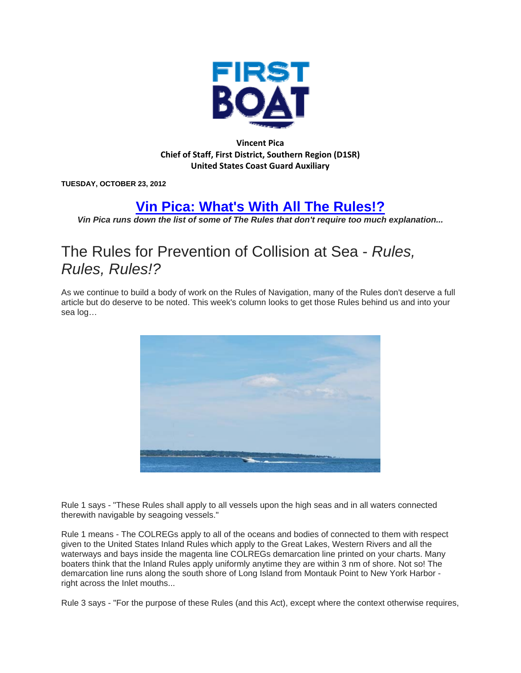

## **Vincent Pica Chief of Staff, First District, Southern Region (D1SR) United States Coast Guard Auxiliary**

**TUESDAY, OCTOBER 23, 2012** 

## **Vin Pica: What's With All The Rules!?**

*Vin Pica runs down the list of some of The Rules that don't require too much explanation...* 

## The Rules for Prevention of Collision at Sea - *Rules, Rules, Rules!?*

As we continue to build a body of work on the Rules of Navigation, many of the Rules don't deserve a full article but do deserve to be noted. This week's column looks to get those Rules behind us and into your sea log…



Rule 1 says - "These Rules shall apply to all vessels upon the high seas and in all waters connected therewith navigable by seagoing vessels."

Rule 1 means - The COLREGs apply to all of the oceans and bodies of connected to them with respect given to the United States Inland Rules which apply to the Great Lakes, Western Rivers and all the waterways and bays inside the magenta line COLREGs demarcation line printed on your charts. Many boaters think that the Inland Rules apply uniformly anytime they are within 3 nm of shore. Not so! The demarcation line runs along the south shore of Long Island from Montauk Point to New York Harbor right across the Inlet mouths...

Rule 3 says - "For the purpose of these Rules (and this Act), except where the context otherwise requires,